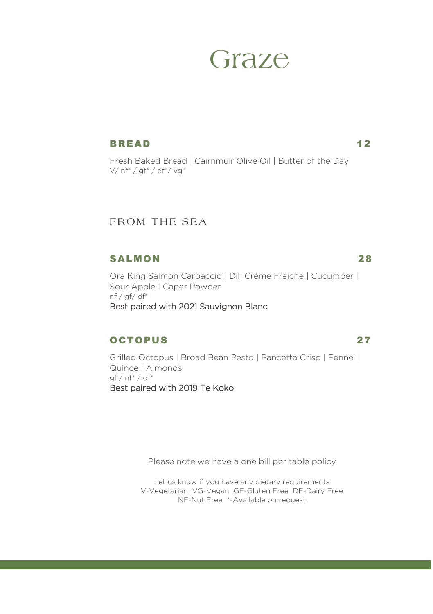# Graze

#### BREAD 12

Fresh Baked Bread | Cairnmuir Olive Oil | Butter of the Day *V/ nf\* / gf\* / df\*/ vg\**

# FROM THE SEA

#### SALMON 28

Ora King Salmon Carpaccio | Dill Crème Fraiche | Cucumber | Sour Apple | Caper Powder *nf / gf/ df\* Best paired with 2021 Sauvignon Blanc* 

## OCTOPUS 27

Grilled Octopus | Broad Bean Pesto | Pancetta Crisp | Fennel | Quince | Almonds *gf / nf\* / df\* Best paired with 2019 Te Koko* 

Please note we have a one bill per table policy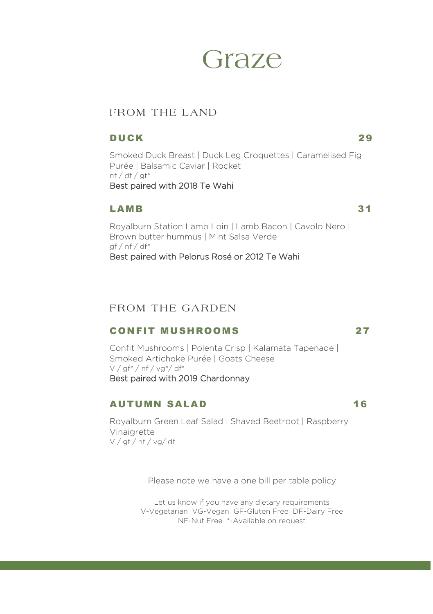# Graze

# FROM THE LAND

#### DUCK 29

Smoked Duck Breast | Duck Leg Croquettes | Caramelised Fig Purée | Balsamic Caviar | Rocket *nf / df / gf\* Best paired with 2018 Te Wahi* 

#### LAMB 31

Royalburn Station Lamb Loin | Lamb Bacon | Cavolo Nero | Brown butter hummus | Mint Salsa Verde gf / nf / df\* *Best paired with Pelorus Rosé or 2012 Te Wahi* 

## FROM THE GARDEN

## CONFIT MUSHROOMS 27

Confit Mushrooms | Polenta Crisp | Kalamata Tapenade | Smoked Artichoke Purée | Goats Cheese V / gf\* / nf / vg\*/ df\* *Best paired with 2019 Chardonnay* 

#### AUTUMN SALAD 16

Royalburn Green Leaf Salad | Shaved Beetroot | Raspberry Vinaigrette V / gf / nf / vg/ df

Please note we have a one bill per table policy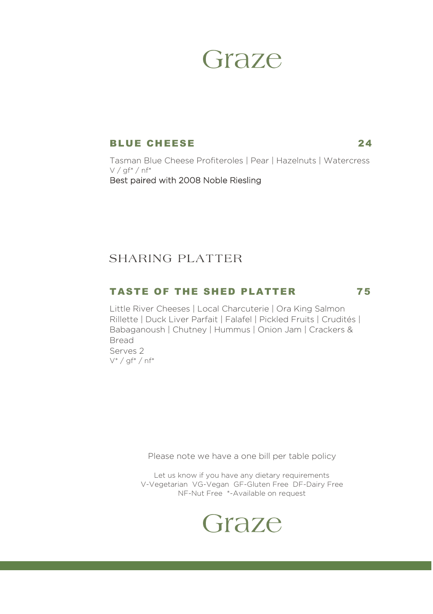# Graze

#### BLUE CHEESE 24

Tasman Blue Cheese Profiteroles | Pear | Hazelnuts | Watercress  $V /$  af\* / nf\* *Best paired with 2008 Noble Riesling* 

# **SHARING PLATTER**

### TASTE OF THE SHED PLATTER 75

Little River Cheeses | Local Charcuterie | Ora King Salmon Rillette | Duck Liver Parfait | Falafel | Pickled Fruits | Crudités | Babaganoush | Chutney | Hummus | Onion Jam | Crackers & Bread *Serves 2 V\* / gf\* / nf\**

Please note we have a one bill per table policy